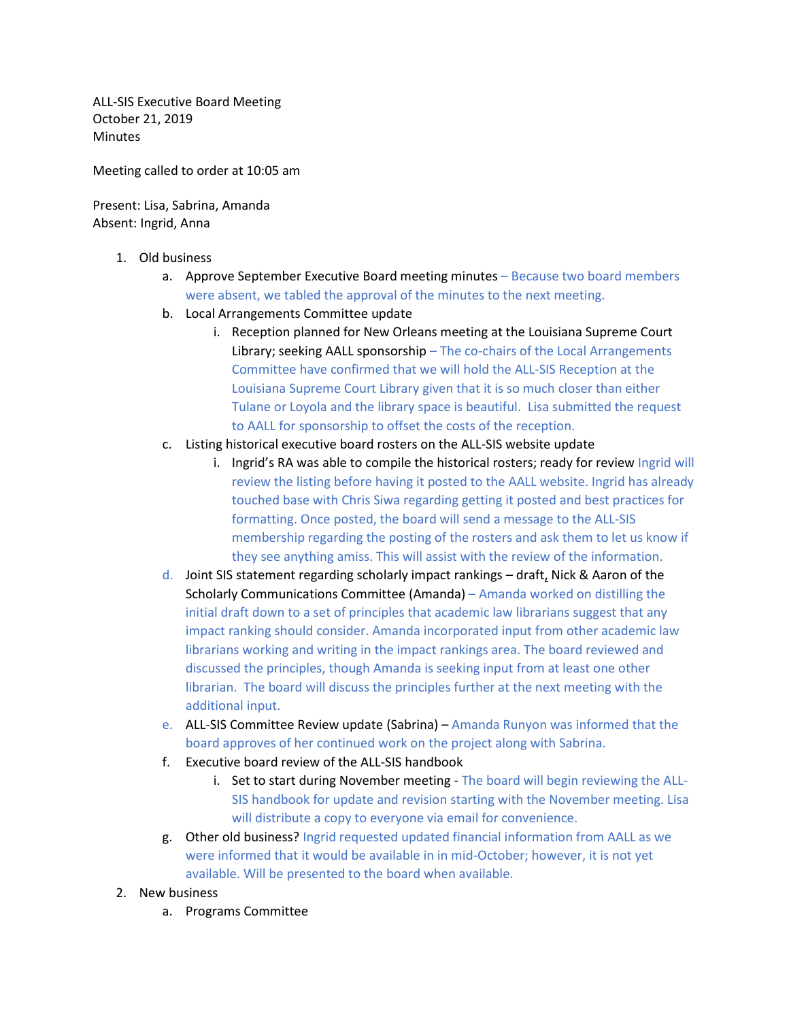ALL-SIS Executive Board Meeting October 21, 2019 **Minutes** 

Meeting called to order at 10:05 am

Present: Lisa, Sabrina, Amanda Absent: Ingrid, Anna

- 1. Old business
	- a. Approve September Executive Board meeting minutes Because two board members were absent, we tabled the approval of the minutes to the next meeting.
	- b. Local Arrangements Committee update
		- i. Reception planned for New Orleans meeting at the Louisiana Supreme Court Library; seeking AALL sponsorship – The co-chairs of the Local Arrangements Committee have confirmed that we will hold the ALL-SIS Reception at the Louisiana Supreme Court Library given that it is so much closer than either Tulane or Loyola and the library space is beautiful. Lisa submitted the request to AALL for sponsorship to offset the costs of the reception.
	- c. Listing historical executive board rosters on the ALL-SIS website update
		- i. Ingrid's RA was able to compile the historical rosters; ready for review Ingrid will review the listing before having it posted to the AALL website. Ingrid has already touched base with Chris Siwa regarding getting it posted and best practices for formatting. Once posted, the board will send a message to the ALL-SIS membership regarding the posting of the rosters and ask them to let us know if they see anything amiss. This will assist with the review of the information.
	- d. Joint SIS statement regarding scholarly impact rankings draft, Nick & Aaron of the Scholarly Communications Committee (Amanda) – Amanda worked on distilling the initial draft down to a set of principles that academic law librarians suggest that any impact ranking should consider. Amanda incorporated input from other academic law librarians working and writing in the impact rankings area. The board reviewed and discussed the principles, though Amanda is seeking input from at least one other librarian. The board will discuss the principles further at the next meeting with the additional input.
	- e. ALL-SIS Committee Review update (Sabrina) Amanda Runyon was informed that the board approves of her continued work on the project along with Sabrina.
	- f. Executive board review of the ALL-SIS handbook
		- i. Set to start during November meeting The board will begin reviewing the ALL-SIS handbook for update and revision starting with the November meeting. Lisa will distribute a copy to everyone via email for convenience.
	- g. Other old business? Ingrid requested updated financial information from AALL as we were informed that it would be available in in mid-October; however, it is not yet available. Will be presented to the board when available.
- 2. New business
	- a. Programs Committee